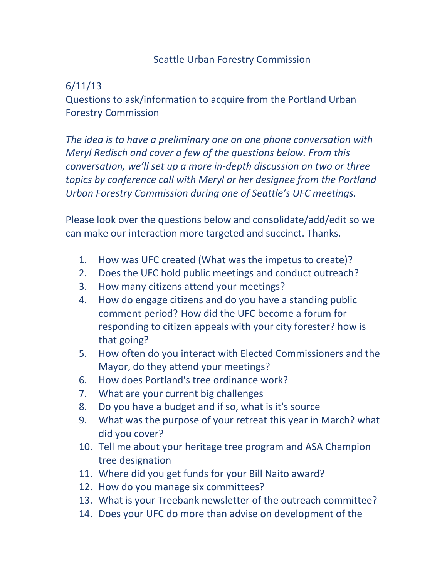## Seattle Urban Forestry Commission

## 6/11/13

Questions to ask/information to acquire from the Portland Urban Forestry Commission

*The idea is to have a preliminary one on one phone conversation with Meryl Redisch and cover a few of the questions below. From this conversation, we'll set up a more in-depth discussion on two or three topics by conference call with Meryl or her designee from the Portland Urban Forestry Commission during one of Seattle's UFC meetings.*

Please look over the questions below and consolidate/add/edit so we can make our interaction more targeted and succinct. Thanks.

- 1. How was UFC created (What was the impetus to create)?
- 2. Does the UFC hold public meetings and conduct outreach?
- 3. How many citizens attend your meetings?
- 4. How do engage citizens and do you have a standing public comment period? How did the UFC become a forum for responding to citizen appeals with your city forester? how is that going?
- 5. How often do you interact with Elected Commissioners and the Mayor, do they attend your meetings?
- 6. How does Portland's tree ordinance work?
- 7. What are your current big challenges
- 8. Do you have a budget and if so, what is it's source
- 9. What was the purpose of your retreat this year in March? what did you cover?
- 10. Tell me about your heritage tree program and ASA Champion tree designation
- 11. Where did you get funds for your Bill Naito award?
- 12. How do you manage six committees?
- 13. What is your Treebank newsletter of the outreach committee?
- 14. Does your UFC do more than advise on development of the